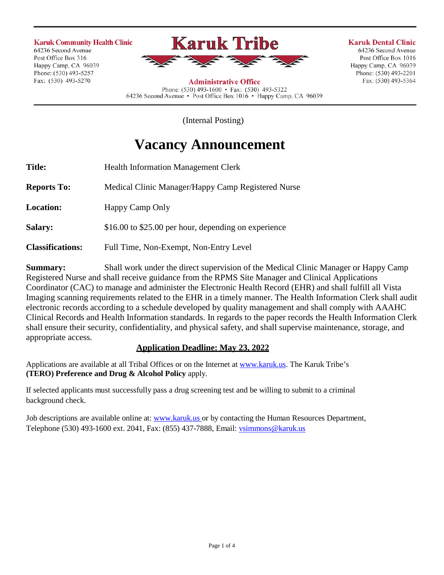#### **Karuk Community Health Clinic**

64236 Second Avenue Post Office Box 316 Happy Camp, CA 96039 Phone: (530) 493-5257 Fax: (530) 493-5270



**Karuk Dental Clinic** 64236 Second Avenue Post Office Box 1016 Happy Camp, CA 96039 Phone: (530) 493-2201 Fax: (530) 493-5364

**Administrative Office** Phone: (530) 493-1600 • Fax: (530) 493-5322 64236 Second Avenue • Post Office Box 1016 • Happy Camp, CA 96039

(Internal Posting)

# **Vacancy Announcement**

| <b>Title:</b>           | <b>Health Information Management Clerk</b>           |
|-------------------------|------------------------------------------------------|
| <b>Reports To:</b>      | Medical Clinic Manager/Happy Camp Registered Nurse   |
| <b>Location:</b>        | Happy Camp Only                                      |
| <b>Salary:</b>          | \$16.00 to \$25.00 per hour, depending on experience |
| <b>Classifications:</b> | Full Time, Non-Exempt, Non-Entry Level               |

**Summary:** Shall work under the direct supervision of the Medical Clinic Manager or Happy Camp Registered Nurse and shall receive guidance from the RPMS Site Manager and Clinical Applications Coordinator (CAC) to manage and administer the Electronic Health Record (EHR) and shall fulfill all Vista Imaging scanning requirements related to the EHR in a timely manner. The Health Information Clerk shall audit electronic records according to a schedule developed by quality management and shall comply with AAAHC Clinical Records and Health Information standards. In regards to the paper records the Health Information Clerk shall ensure their security, confidentiality, and physical safety, and shall supervise maintenance, storage, and appropriate access.

## **Application Deadline: May 23, 2022**

Applications are available at all Tribal Offices or on the Internet at [www.karuk.us.](http://www.karuk.us/) The Karuk Tribe's **(TERO) Preference and Drug & Alcohol Policy** apply.

If selected applicants must successfully pass a drug screening test and be willing to submit to a criminal background check.

Job descriptions are available online at: [www.karuk.us](http://www.karuk.us/) or by contacting the Human Resources Department, Telephone (530) 493-1600 ext. 2041, Fax: (855) 437-7888, Email: [vsimmons@karuk.us](mailto:vsimmons@karuk.us)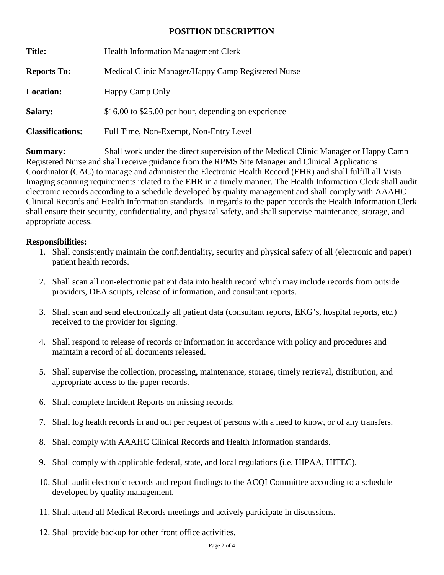#### **POSITION DESCRIPTION**

| <b>Title:</b>           | <b>Health Information Management Clerk</b>           |
|-------------------------|------------------------------------------------------|
| <b>Reports To:</b>      | Medical Clinic Manager/Happy Camp Registered Nurse   |
| <b>Location:</b>        | Happy Camp Only                                      |
| <b>Salary:</b>          | \$16.00 to \$25.00 per hour, depending on experience |
| <b>Classifications:</b> | Full Time, Non-Exempt, Non-Entry Level               |

**Summary:** Shall work under the direct supervision of the Medical Clinic Manager or Happy Camp Registered Nurse and shall receive guidance from the RPMS Site Manager and Clinical Applications Coordinator (CAC) to manage and administer the Electronic Health Record (EHR) and shall fulfill all Vista Imaging scanning requirements related to the EHR in a timely manner. The Health Information Clerk shall audit electronic records according to a schedule developed by quality management and shall comply with AAAHC Clinical Records and Health Information standards. In regards to the paper records the Health Information Clerk shall ensure their security, confidentiality, and physical safety, and shall supervise maintenance, storage, and appropriate access.

#### **Responsibilities:**

- 1. Shall consistently maintain the confidentiality, security and physical safety of all (electronic and paper) patient health records.
- 2. Shall scan all non-electronic patient data into health record which may include records from outside providers, DEA scripts, release of information, and consultant reports.
- 3. Shall scan and send electronically all patient data (consultant reports, EKG's, hospital reports, etc.) received to the provider for signing.
- 4. Shall respond to release of records or information in accordance with policy and procedures and maintain a record of all documents released.
- 5. Shall supervise the collection, processing, maintenance, storage, timely retrieval, distribution, and appropriate access to the paper records.
- 6. Shall complete Incident Reports on missing records.
- 7. Shall log health records in and out per request of persons with a need to know, or of any transfers.
- 8. Shall comply with AAAHC Clinical Records and Health Information standards.
- 9. Shall comply with applicable federal, state, and local regulations (i.e. HIPAA, HITEC).
- 10. Shall audit electronic records and report findings to the ACQI Committee according to a schedule developed by quality management.
- 11. Shall attend all Medical Records meetings and actively participate in discussions.
- 12. Shall provide backup for other front office activities.